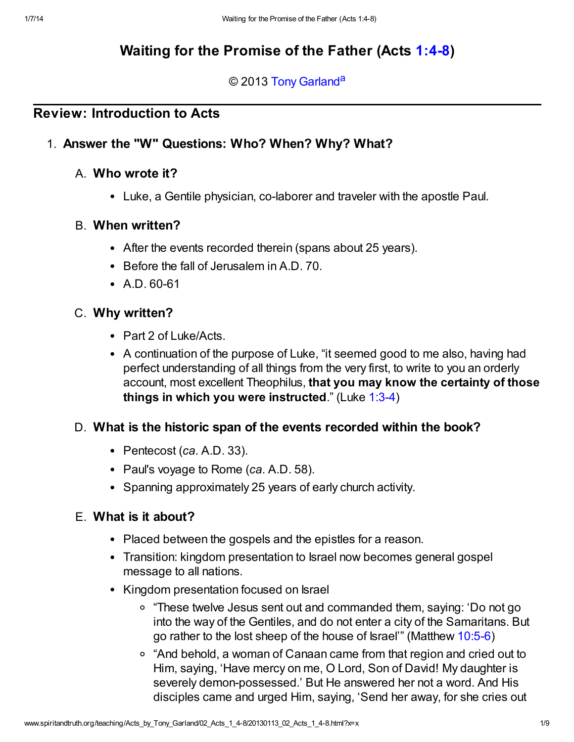# Waiting for the Promise of the Father (Acts [1:4-8\)](http://www.spiritandtruth.org/bibles/nasb/b44c001.htm#Acts_C1V4)

#### <span id="page-0-0"></span>© 2013 [Tony Garland](http://www.spiritandtruth.org/id/tg.htm)<sup>[a](#page-8-0)</sup>

## Review: Introduction to Acts

#### 1. Answer the "W" Questions: Who? When? Why? What?

#### A. Who wrote it?

Luke, a Gentile physician, co-laborer and traveler with the apostle Paul.

#### B. When written?

- After the events recorded therein (spans about 25 years).
- Before the fall of Jerusalem in A.D. 70.
- A.D. 60-61

#### C. Why written?

- Part 2 of Luke/Acts.
- A continuation of the purpose of Luke, "it seemed good to me also, having had perfect understanding of all things from the very first, to write to you an orderly account, most excellent Theophilus, that you may know the certainty of those things in which you were instructed." (Luke [1:3-4](http://www.spiritandtruth.org/bibles/nasb/b42c001.htm#Luke_C1V3))

#### D. What is the historic span of the events recorded within the book?

- Pentecost  $(ca. A.D. 33)$ .
- Paul's voyage to Rome (ca. A.D. 58).
- Spanning approximately 25 years of early church activity.

#### E. What is it about?

- Placed between the gospels and the epistles for a reason.
- Transition: kingdom presentation to Israel now becomes general gospel message to all nations.
- Kingdom presentation focused on Israel
	- "These twelve Jesus sent out and commanded them, saying: 'Do not go into the way of the Gentiles, and do not enter a city of the Samaritans. But go rather to the lost sheep of the house of Israel'" (Matthew [10:5-6\)](http://www.spiritandtruth.org/bibles/nasb/b40c010.htm#Mat._C10V5)
	- "And behold, a woman of Canaan came from that region and cried out to Him, saying, 'Have mercy on me, O Lord, Son of David! My daughter is severely demon-possessed.' But He answered her not a word. And His disciples came and urged Him, saying, 'Send her away, for she cries out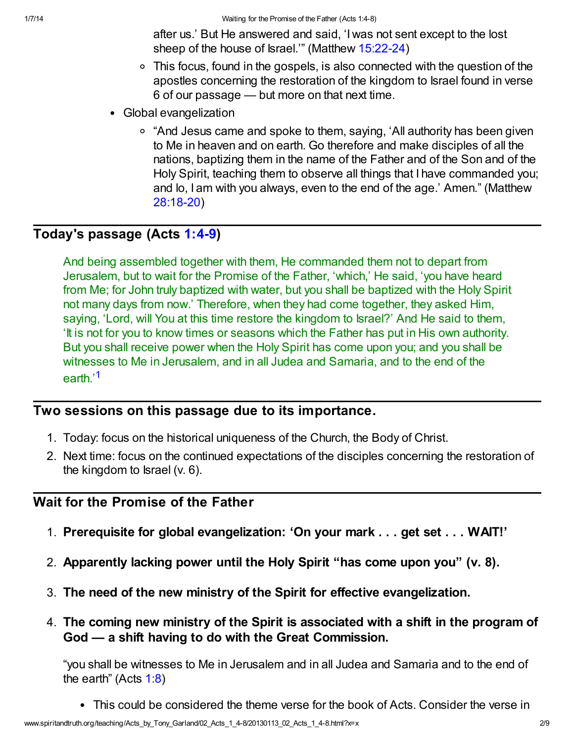after us.' But He answered and said, 'I was not sent except to the lost sheep of the house of Israel.'" (Matthew [15:22-24\)](http://www.spiritandtruth.org/bibles/nasb/b40c015.htm#Mat._C15V22)

- This focus, found in the gospels, is also connected with the question of the apostles concerning the restoration of the kingdom to Israel found in verse 6 of our passage — but more on that next time.
- Global evangelization
	- <sup>o</sup> "And Jesus came and spoke to them, saying, 'All authority has been given to Me in heaven and on earth. Go therefore and make disciples of all the nations, baptizing them in the name of the Father and of the Son and of the Holy Spirit, teaching them to observe all things that I have commanded you; and lo, I am with you always, even to the end of the age.' Amen." (Matthew [28:18-20](http://www.spiritandtruth.org/bibles/nasb/b40c028.htm#Mat._C28V18))

## Today's passage (Acts [1:4-9\)](http://www.spiritandtruth.org/bibles/nasb/b44c001.htm#Acts_C1V4)

And being assembled together with them, He commanded them not to depart from Jerusalem, but to wait for the Promise of the Father, 'which,' He said, 'you have heard from Me; for John truly baptized with water, but you shall be baptized with the Holy Spirit not many days from now.' Therefore, when they had come together, they asked Him, saying, 'Lord, will You at this time restore the kingdom to Israel?' And He said to them, 'It is not for you to know times or seasons which the Father has put in His own authority. But you shall receive power when the Holy Spirit has come upon you; and you shall be witnesses to Me in Jerusalem, and in all Judea and Samaria, and to the end of the earth<sup>,[1](#page-7-0)</sup>

## <span id="page-1-0"></span>Two sessions on this passage due to its importance.

- 1. Today: focus on the historical uniqueness of the Church, the Body of Christ.
- 2. Next time: focus on the continued expectations of the disciples concerning the restoration of the kingdom to Israel (v. 6).

## Wait for the Promise of the Father

- 1. Prerequisite for global evangelization: 'On your mark . . . get set . . . WAIT!'
- 2. Apparently lacking power until the Holy Spirit "has come upon you" (v. 8).
- 3. The need of the new ministry of the Spirit for effective evangelization.
- 4. The coming new ministry of the Spirit is associated with a shift in the program of God — a shift having to do with the Great Commission.

"you shall be witnesses to Me in Jerusalem and in all Judea and Samaria and to the end of the earth" (Acts [1:8](http://www.spiritandtruth.org/bibles/nasb/b44c001.htm#Acts_C1V8))

This could be considered the theme verse for the book of Acts. Consider the verse in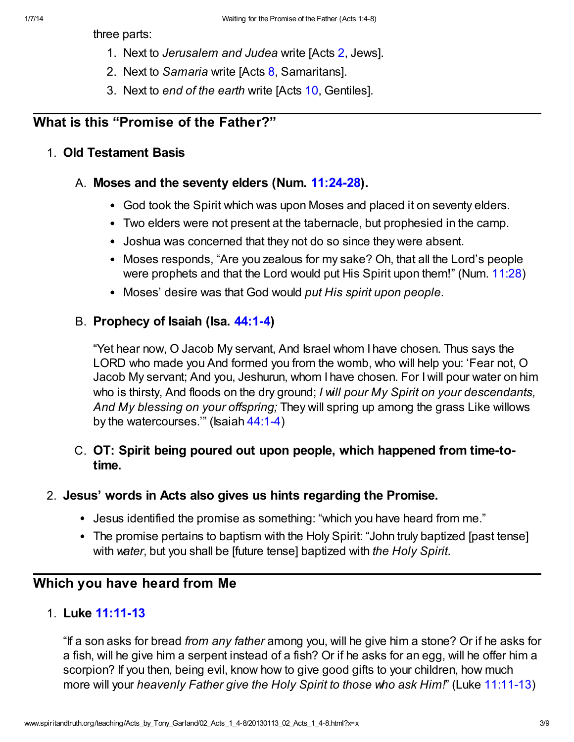three parts:

- 1. Next to Jerusalem and Judea write [Acts [2,](http://www.spiritandtruth.org/bibles/nasb/b44c002.htm#Acts_C2V1) Jews].
- 2. Next to Samaria write [Acts [8](http://www.spiritandtruth.org/bibles/nasb/b44c008.htm#Acts_C8V1), Samaritans].
- 3. Next to end of the earth write [Acts [10,](http://www.spiritandtruth.org/bibles/nasb/b44c010.htm#Acts_C10V1) Gentiles].

## What is this "Promise of the Father?"

#### 1. Old Testament Basis

#### A. Moses and the seventy elders (Num. [11:24-28\)](http://www.spiritandtruth.org/bibles/nasb/b04c011.htm#Num._C11V24).

- God took the Spirit which was upon Moses and placed it on seventy elders.
- Two elders were not present at the tabernacle, but prophesied in the camp.
- Joshua was concerned that they not do so since they were absent.
- Moses responds, "Are you zealous for my sake? Oh, that all the Lord's people were prophets and that the Lord would put His Spirit upon them!" (Num. [11:28\)](http://www.spiritandtruth.org/bibles/nasb/b04c011.htm#Num._C11V28)
- Moses' desire was that God would put His spirit upon people.

#### B. Prophecy of Isaiah (Isa. [44:1-4](http://www.spiritandtruth.org/bibles/nasb/b23c044.htm#Isa._C44V1))

"Yet hear now, O Jacob My servant, And Israel whom I have chosen. Thus says the LORD who made you And formed you from the womb, who will help you: 'Fear not, O Jacob My servant; And you, Jeshurun, whom I have chosen. For I will pour water on him who is thirsty, And floods on the dry ground; I will pour My Spirit on your descendants, And My blessing on your offspring; They will spring up among the grass Like willows by the watercourses.'" (Isaiah [44:1-4\)](http://www.spiritandtruth.org/bibles/nasb/b23c044.htm#Isa._C44V1)

## C. OT: Spirit being poured out upon people, which happened from time-totime.

#### 2. Jesus' words in Acts also gives us hints regarding the Promise.

- Jesus identified the promise as something: "which you have heard from me."
- The promise pertains to baptism with the Holy Spirit: "John truly baptized [past tense] with water, but you shall be [future tense] baptized with the Holy Spirit.

## Which you have heard from Me

#### 1. Luke [11:11-13](http://www.spiritandtruth.org/bibles/nasb/b42c011.htm#Luke_C11V11)

"If a son asks for bread from any father among you, will he give him a stone? Or if he asks for a fish, will he give him a serpent instead of a fish? Or if he asks for an egg, will he offer him a scorpion? If you then, being evil, know how to give good gifts to your children, how much more will your heavenly Father give the Holy Spirit to those who ask Him!" (Luke [11:11-13](http://www.spiritandtruth.org/bibles/nasb/b42c011.htm#Luke_C11V11))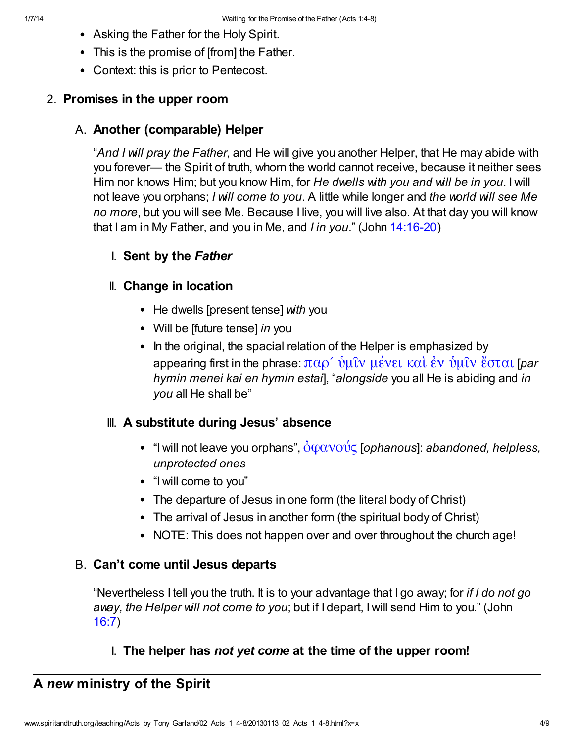- Asking the Father for the Holy Spirit.
- This is the promise of [from] the Father.
- Context: this is prior to Pentecost.

## 2. Promises in the upper room

## A. Another (comparable) Helper

"And I will pray the Father, and He will give you another Helper, that He may abide with you forever— the Spirit of truth, whom the world cannot receive, because it neither sees Him nor knows Him; but you know Him, for He dwells with you and will be in you. I will not leave you orphans; I will come to you. A little while longer and the world will see Me no more, but you will see Me. Because I live, you will live also. At that day you will know that I am in My Father, and you in Me, and I in you." (John [14:16-20](http://www.spiritandtruth.org/bibles/nasb/b43c014.htm#John_C14V16))

## I. Sent by the Father

## II. Change in location

- He dwells [present tense] with you
- Will be [future tense] in you
- In the original, the spacial relation of the Helper is emphasized by appearing first in the phrase:  $\pi\alpha\rho'$  [ὑμῖν μένει καὶ ἐν ὑμῖν ἔσται](http://www.spiritandtruth.org/fontsu/index.htm) [par hymin menei kai en hymin estail, "alongside you all He is abiding and in you all He shall be"

## III. A substitute during Jesus' absence

- "I will not leave you orphans",  $\partial \phi \alpha \nu \partial \nu \zeta$  [ophanous]: abandoned, helpless, unprotected ones
- "I will come to you"
- The departure of Jesus in one form (the literal body of Christ)
- The arrival of Jesus in another form (the spiritual body of Christ)
- NOTE: This does not happen over and over throughout the church age!

## B. Can't come until Jesus departs

"Nevertheless I tell you the truth. It is to your advantage that I go away; for if I do not go away, the Helper will not come to you; but if I depart, I will send Him to you." (John [16:7](http://www.spiritandtruth.org/bibles/nasb/b43c016.htm#John_C16V7))

I. The helper has not yet come at the time of the upper room!

## A new ministry of the Spirit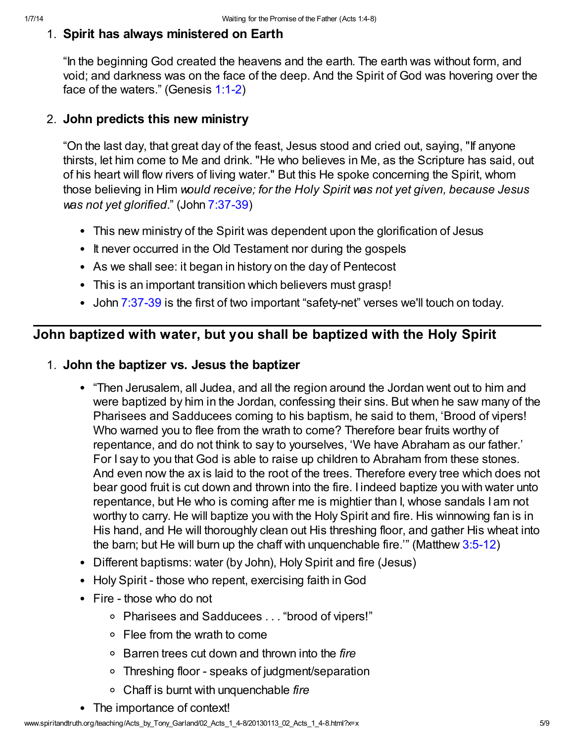#### 1. Spirit has always ministered on Earth

"In the beginning God created the heavens and the earth. The earth was without form, and void; and darkness was on the face of the deep. And the Spirit of God was hovering over the face of the waters." (Genesis [1:1-2](http://www.spiritandtruth.org/bibles/nasb/b01c001.htm#Gen._C1V1))

#### 2. John predicts this new ministry

"On the last day, that great day of the feast, Jesus stood and cried out, saying, "If anyone thirsts, let him come to Me and drink. "He who believes in Me, as the Scripture has said, out of his heart will flow rivers of living water." But this He spoke concerning the Spirit, whom those believing in Him would receive; for the Holy Spirit was not yet given, because Jesus was not yet glorified." (John [7:37-39](http://www.spiritandtruth.org/bibles/nasb/b43c007.htm#John_C7V37))

- This new ministry of the Spirit was dependent upon the glorification of Jesus
- It never occurred in the Old Testament nor during the gospels
- As we shall see: it began in history on the day of Pentecost
- This is an important transition which believers must grasp!
- John [7:37-39](http://www.spiritandtruth.org/bibles/nasb/b43c007.htm#John_C7V37) is the first of two important "safety-net" verses we'll touch on today.

## John baptized with water, but you shall be baptized with the Holy Spirit

#### 1. John the baptizer vs. Jesus the baptizer

- "Then Jerusalem, all Judea, and all the region around the Jordan went out to him and were baptized by him in the Jordan, confessing their sins. But when he saw many of the Pharisees and Sadducees coming to his baptism, he said to them, 'Brood of vipers! Who warned you to flee from the wrath to come? Therefore bear fruits worthy of repentance, and do not think to say to yourselves, 'We have Abraham as our father.' For I say to you that God is able to raise up children to Abraham from these stones. And even now the ax is laid to the root of the trees. Therefore every tree which does not bear good fruit is cut down and thrown into the fire. I indeed baptize you with water unto repentance, but He who is coming after me is mightier than I, whose sandals I am not worthy to carry. He will baptize you with the Holy Spirit and fire. His winnowing fan is in His hand, and He will thoroughly clean out His threshing floor, and gather His wheat into the barn; but He will burn up the chaff with unquenchable fire.'" (Matthew [3:5-12\)](http://www.spiritandtruth.org/bibles/nasb/b40c003.htm#Mat._C3V5)
- Different baptisms: water (by John), Holy Spirit and fire (Jesus)
- Holy Spirit those who repent, exercising faith in God
- Fire those who do not
	- Pharisees and Sadducees . . . "brood of vipers!"
	- Flee from the wrath to come
	- $\circ$  Barren trees cut down and thrown into the fire
	- Threshing floor speaks of judgment/separation
	- $\circ$  Chaff is burnt with unquenchable fire
- The importance of context!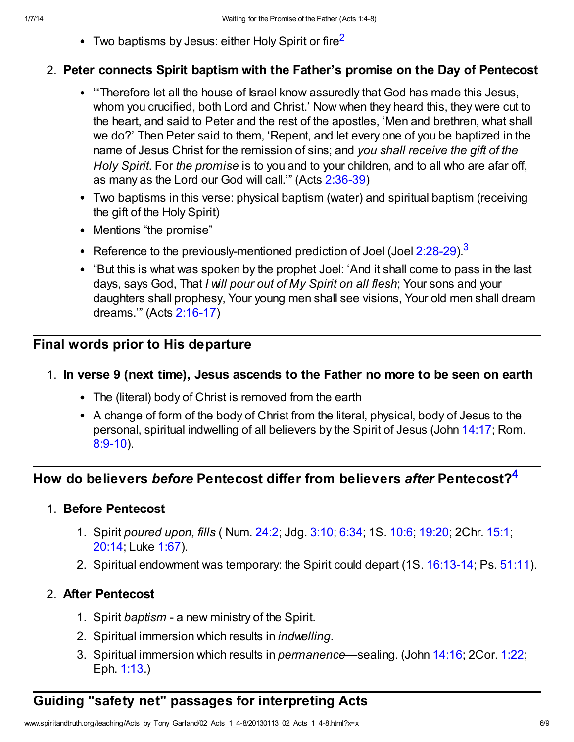<span id="page-5-0"></span>• Two baptisms by Jesus: either Holy Spirit or fire<sup>[2](#page-7-1)</sup>

#### 2. Peter connects Spirit baptism with the Father's promise on the Day of Pentecost

- "'Therefore let all the house of Israel know assuredly that God has made this Jesus, whom you crucified, both Lord and Christ.' Now when they heard this, they were cut to the heart, and said to Peter and the rest of the apostles, 'Men and brethren, what shall we do?' Then Peter said to them, 'Repent, and let every one of you be baptized in the name of Jesus Christ for the remission of sins; and you shall receive the gift of the Holy Spirit. For the promise is to you and to your children, and to all who are afar off, as many as the Lord our God will call.'" (Acts [2:36-39](http://www.spiritandtruth.org/bibles/nasb/b44c002.htm#Acts_C2V36))
- Two baptisms in this verse: physical baptism (water) and spiritual baptism (receiving the gift of the Holy Spirit)
- <span id="page-5-1"></span>• Mentions "the promise"
- Reference to the previously-mentioned prediction of Joel (Joel  $2:28-29$ ).<sup>[3](#page-7-2)</sup>
- "But this is what was spoken by the prophet Joel: 'And it shall come to pass in the last days, says God, That I will pour out of My Spirit on all flesh; Your sons and your daughters shall prophesy, Your young men shall see visions, Your old men shall dream dreams.'" (Acts [2:16-17\)](http://www.spiritandtruth.org/bibles/nasb/b44c002.htm#Acts_C2V16)

## Final words prior to His departure

## 1. In verse 9 (next time), Jesus ascends to the Father no more to be seen on earth

- The (literal) body of Christ is removed from the earth
- <span id="page-5-2"></span>A change of form of the body of Christ from the literal, physical, body of Jesus to the personal, spiritual indwelling of all believers by the Spirit of Jesus (John [14:17;](http://www.spiritandtruth.org/bibles/nasb/b43c014.htm#John_C14V17) Rom. [8:9-10\)](http://www.spiritandtruth.org/bibles/nasb/b45c008.htm#Rom._C8V9).

## How do believers before Pentecost differ from believers after Pentecost?<sup>[4](#page-7-3)</sup>

## 1. Before Pentecost

- 1. Spirit poured upon, fills ( Num. [24:2](http://www.spiritandtruth.org/bibles/nasb/b04c024.htm#Num._C24V2); Jdg. [3:10;](http://www.spiritandtruth.org/bibles/nasb/b07c003.htm#Jdg._C3V10) [6:34](http://www.spiritandtruth.org/bibles/nasb/b07c006.htm#Jdg._C6V34); 1S. [10:6;](http://www.spiritandtruth.org/bibles/nasb/b09c010.htm#1S._C10V6) [19:20](http://www.spiritandtruth.org/bibles/nasb/b09c019.htm#1S._C19V20); 2Chr. [15:1;](http://www.spiritandtruth.org/bibles/nasb/b14c015.htm#2Chr._C15V1) [20:14;](http://www.spiritandtruth.org/bibles/nasb/b14c020.htm#2Chr._C20V14) Luke [1:67](http://www.spiritandtruth.org/bibles/nasb/b42c001.htm#Luke_C1V67)).
- 2. Spiritual endowment was temporary: the Spirit could depart (1S. [16:13-14;](http://www.spiritandtruth.org/bibles/nasb/b09c016.htm#1S._C16V13) Ps. [51:11\)](http://www.spiritandtruth.org/bibles/nasb/b19c051.htm#Ps._C51V11).

## 2. After Pentecost

- 1. Spirit baptism a new ministry of the Spirit.
- 2. Spiritual immersion which results in *indwelling*.
- 3. Spiritual immersion which results in permanence—sealing. (John [14:16;](http://www.spiritandtruth.org/bibles/nasb/b43c014.htm#John_C14V16) 2Cor. [1:22](http://www.spiritandtruth.org/bibles/nasb/b47c001.htm#2Cor._C1V22); Eph. [1:13](http://www.spiritandtruth.org/bibles/nasb/b49c001.htm#Eph._C1V13).)

# Guiding "safety net" passages for interpreting Acts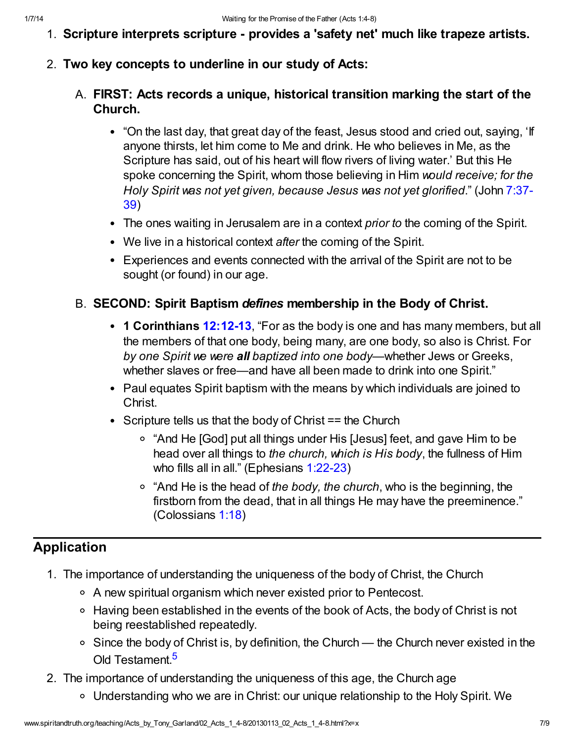- 1. Scripture interprets scripture provides a 'safety net' much like trapeze artists.
- 2. Two key concepts to underline in our study of Acts:
	- A. FIRST: Acts records a unique, historical transition marking the start of the Church.
		- "On the last day, that great day of the feast, Jesus stood and cried out, saying, 'If anyone thirsts, let him come to Me and drink. He who believes in Me, as the Scripture has said, out of his heart will flow rivers of living water.' But this He spoke concerning the Spirit, whom those believing in Him would receive; for the [Holy Spirit was not yet given, because Jesus was not yet glorified](http://www.spiritandtruth.org/bibles/nasb/b43c007.htm#John_C7V37)." (John 7:37- 39)
		- The ones waiting in Jerusalem are in a context *prior to* the coming of the Spirit.
		- We live in a historical context after the coming of the Spirit.
		- Experiences and events connected with the arrival of the Spirit are not to be sought (or found) in our age.

## B. SECOND: Spirit Baptism defines membership in the Body of Christ.

- 1 Corinthians [12:12-13](http://www.spiritandtruth.org/bibles/nasb/b46c012.htm#1Cor._C12V12), "For as the body is one and has many members, but all the members of that one body, being many, are one body, so also is Christ. For by one Spirit we were all baptized into one body—whether Jews or Greeks, whether slaves or free—and have all been made to drink into one Spirit."
- Paul equates Spirit baptism with the means by which individuals are joined to Christ.
- Scripture tells us that the body of Christ  $==$  the Church
	- "And He [God] put all things under His [Jesus] feet, and gave Him to be head over all things to the church, which is His body, the fullness of Him who fills all in all." (Ephesians [1:22-23](http://www.spiritandtruth.org/bibles/nasb/b49c001.htm#Eph._C1V22))
	- $\circ$  "And He is the head of the body, the church, who is the beginning, the firstborn from the dead, that in all things He may have the preeminence." (Colossians [1:18](http://www.spiritandtruth.org/bibles/nasb/b51c001.htm#Col._C1V18))

## Application

- 1. The importance of understanding the uniqueness of the body of Christ, the Church
	- A new spiritual organism which never existed prior to Pentecost.
	- Having been established in the events of the book of Acts, the body of Christ is not being reestablished repeatedly.
	- $\circ$  Since the body of Christ is, by definition, the Church the Church never existed in the Old Testament.<sup>[5](#page-7-4)</sup>
- <span id="page-6-0"></span>2. The importance of understanding the uniqueness of this age, the Church age
	- Understanding who we are in Christ: our unique relationship to the Holy Spirit. We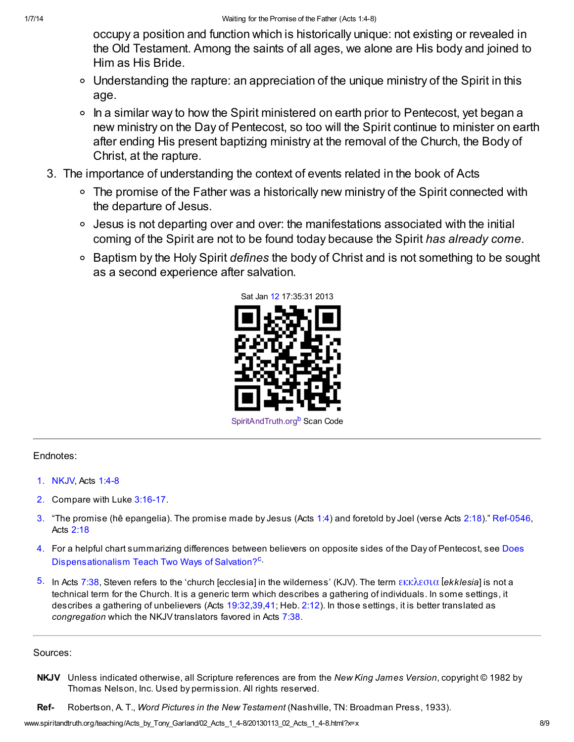occupy a position and function which is historically unique: not existing or revealed in the Old Testament. Among the saints of all ages, we alone are His body and joined to Him as His Bride.

- Understanding the rapture: an appreciation of the unique ministry of the Spirit in this age.
- $\circ$  In a similar way to how the Spirit ministered on earth prior to Pentecost, yet began a new ministry on the Day of Pentecost, so too will the Spirit continue to minister on earth after ending His present baptizing ministry at the removal of the Church, the Body of Christ, at the rapture.
- 3. The importance of understanding the context of events related in the book of Acts
	- The promise of the Father was a historically new ministry of the Spirit connected with the departure of Jesus.
	- Jesus is not departing over and over: the manifestations associated with the initial coming of the Spirit are not to be found today because the Spirit has already come.
	- <sup>o</sup> Baptism by the Holy Spirit defines the body of Christ and is not something to be sought as a second experience after salvation.



<span id="page-7-6"></span><span id="page-7-5"></span>[SpiritAndTruth.org](http://www.spiritandtruth.org/)<sup>[b](#page-8-1)</sup> Scan Code

#### Endnotes:

- <span id="page-7-0"></span>[1.](#page-1-0) NKJV, Acts [1:4-8](http://www.spiritandtruth.org/bibles/nasb/b44c001.htm#Acts_C1V4)
- <span id="page-7-1"></span>[2.](#page-5-0) Compare with Luke [3:16-17](http://www.spiritandtruth.org/bibles/nasb/b42c003.htm#Luke_C3V16).
- <span id="page-7-2"></span>[3.](#page-5-1) "The promise (hê epangelia). The promise made by Jesus (Acts [1:4\)](http://www.spiritandtruth.org/bibles/nasb/b44c001.htm#Acts_C1V4) and foretold by Joel (verse Acts [2:18](http://www.spiritandtruth.org/bibles/nasb/b44c002.htm#Acts_C2V18))." Ref-0546, Acts [2:18](http://www.spiritandtruth.org/bibles/nasb/b44c002.htm#Acts_C2V18)
- <span id="page-7-3"></span>[4.](#page-5-2) [For a helpful chart summarizing differences between believers on opposite sides of the Day of Pentecost, see Does](http://www.spiritandtruth.org/teaching/documents/articles/index.htm#4) Dispensationalism Tea[c](#page-8-2)h Two Ways of Salvation?<sup>C</sup>.
- <span id="page-7-4"></span>[5.](#page-6-0) In Acts [7:38,](http://www.spiritandtruth.org/bibles/nasb/b44c007.htm#Acts_C7V38) Steven refers to the 'church [ecclesia] in the wilderness' (KJV). The term [εκκλεσια](http://www.spiritandtruth.org/fontsu/index.htm) [ekklesia] is not a technical term for the Church. It is a generic term which describes a gathering of individuals. In some settings, it describes a gathering of unbelievers (Acts [19:32](http://www.spiritandtruth.org/bibles/nasb/b44c019.htm#Acts_C19V32)[,39](http://www.spiritandtruth.org/bibles/nasb/b44c019.htm#Acts_C19V39)[,41](http://www.spiritandtruth.org/bibles/nasb/b44c019.htm#Acts_C19V41); Heb. [2:12](http://www.spiritandtruth.org/bibles/nasb/b58c002.htm#Heb._C2V12)). In those settings, it is better translated as congregation which the NKJV translators favored in Acts [7:38.](http://www.spiritandtruth.org/bibles/nasb/b44c007.htm#Acts_C7V38)

#### Sources:

- NKJV Unless indicated otherwise, all Scripture references are from the New King James Version, copyright © 1982 by Thomas Nelson, Inc. Used by permission. All rights reserved.
- Ref- Robertson, A. T., Word Pictures in the New Testament (Nashville, TN: Broadman Press, 1933).